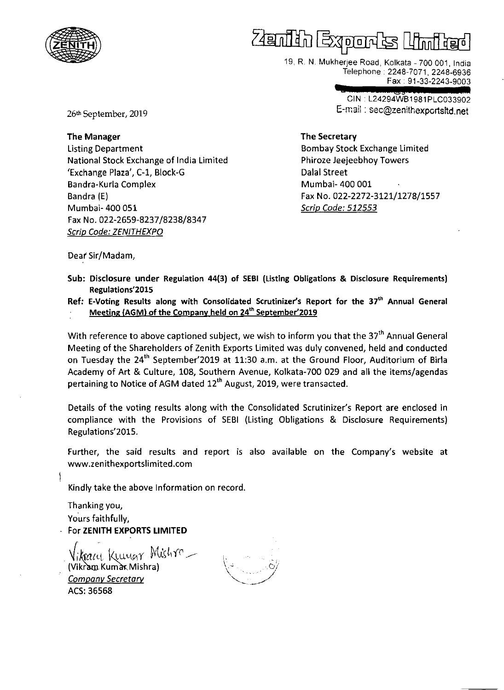

19, R. N. Mukherjee Road, Kolkata - 700 001, India Telephone. 2248-7071,2248-6936 Fax. 91-33-2243-9003

**• &3**  CIN • L24294WB1981 PLC033902 E-mail: sec@zenithexportsltd.net

26th September, 2019

The Manager Listing Department National Stock Exchange of India Limited 'Exchange Plaza', C-1, Block-G Bandra-Kurla Complex Bandra (E) Mumbai- 400 051 Fax No. 022-2659-8237/8238/8347 Scrip Code: ZENITHEXPO

The Secretary

Bombay Stock Exchange Limited Phiroze Jeejeebhoy Towers Dalal Street Mumbai- 400 001 Fax No. 022-2272-3121/1278/1557 Scrip Code: 512553

Deaf Sir/Madam,

- Sub: Disclosure under Regulation 44(3) of SEBI (Listing Obligations & Disclosure Requirements) Regulations'2015
- Ref: E-Voting Results along with Consolidated Scrutinizer's Report for the 37<sup>th</sup> Annual General Meeting (AGM) of the Company held on 24<sup>th</sup> September'2019

With reference to above captioned subject, we wish to inform you that the *3th* Annual General Meeting of the Shareholders of Zenith Exports Limited was duly convened, held and conducted on Tuesday the 24<sup>th</sup> September'2019 at 11:30 a.m. at the Ground Floor, Auditorium of Birla Academy of Art & Culture, 108, Southern Avenue, Kolkata-700 029 and all the items/agendas pertaining to Notice of AGM dated 12<sup>th</sup> August, 2019, were transacted.

Details of the voting results along with the Consolidated Scrutinizer's Report are enclosed in compliance with the Provisions of SEBI (Listing Obligations & Disclosure Requirements) Regulations'2015.

Further, the said results and report is also available on the Company's website at www.zenithexportslimited.com

Kindly take the above Information on record.

Thanking you, Yours faithfully, For ZENITH EXPORTS LIMITED

 $N$ ikna $u_1$  Kuu<sub>ugy</sub> Mishra  $-$ **Company Secretary** ACS:36568

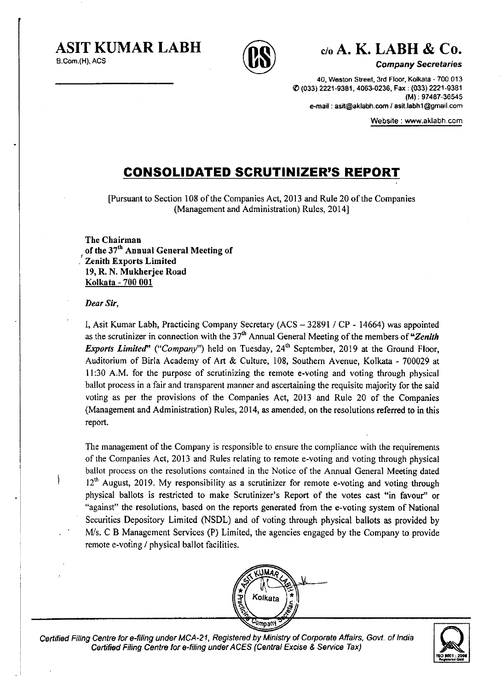AS IT **KUMAR LABH** 

B.Com.(H), ACS



# c/o **A. K. LABH & CO.**

Company Secretaries

40, Weston Street, 3rd Floor, Kolkata· 700 013 I() (033) 2221-9381, 4063-0236, Fax: (033) 2221-9381 (M): 97487-36545 e-mail: asit@aklabh.com / asit.labh1@gmail.com

Website: www.aklabh.com

## **CONSOLIDATED SCRUTINIZER'S REPORT**

[Pursuant to Section 108 of the Companies Act, 2013 and Rule 20 of the Companies (Management and Administration) Rules, 2014]

The Chairman of the 37<sup>th</sup> Annual General Meeting of Zenith Exports Limited 19, R. N. Mukherjee Road Kolkata - 700 001

#### Dear *Sir,*

 $\mathcal{S}_{\mathcal{S}}$ 

I, Asit Kumar Labh, Practicing Company Secretary (ACS - 32891 / CP - 14664) was appointed as the scrutinizer in connection with the  $37<sup>th</sup>$  Annual General Meeting of the members of "Zenith" *Exports Limited*" ("Company") held on Tuesday, 24<sup>th</sup> September, 2019 at the Ground Floor, Auditorium of Birla Academy of Art & Culture, 108, Southern Avenue, Kolkata - 700029 at II :30 A.M. for the purpose of scrutinizing the remote e-voting and voting through physical ballot process in a fair and transparent manner and ascertaining the requisite majority for the said voting as per the provisions of the Companies Act, 2013 and Rule 20 of the Companies (Management and Administration) Rules, 2014, as amended, on the resolutions referred to in this report.

The management of the Company is responsible to ensure the compliance with the requirements of the Companies Act, 2013 and Rules relating to remote e-voting and voting through physical ballot process on the resolutions contained in the Notice of the Annual General Meeting dated  $12<sup>th</sup>$  August, 2019. My responsibility as a scrutinizer for remote e-voting and voting through physical ballots is restricted to make Scrutinizer's Report of the votes cast "in favour" or "against" the resolutions, based on the reports generated from the e-voting system of National Securities Depository Limited (NSDL) and of voting through physical ballots as provided by Mis. C B Management Services (P) Limited, the agencies engaged by the Company to provide remote e-voting / physical ballot facilities.



Certified Filing Centre for e-filing under MCA-21, Registered by Ministry of Corporate Affairs. Govt. of India Centre for e-filing under MCA-21, Registered by Ministry of Corporate Affairs, Govt. of India<br>Certified Filing Centre for e-filing under ACES (Central Excise & Service Tax)

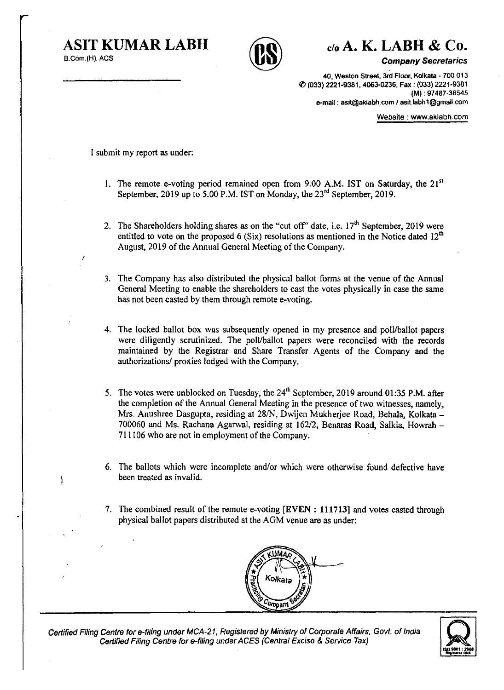I

j



**ASIT KUMAR LABH** c/o **A. K. LABH & Co.** 

**Company Secretaries** 

40, Weston Street, 3rd Floor, Koikata - 700 013 I/) (033) 2221-9381, 4063-0236, Fax: (033) 2221-9381 (M) : 97487-36545 e-mail: asil@aklabh.com/aslt.iabh1@gmail.com

Website: www.aklabh.com

I submit my report as under:

- 1. The remote e-voting period remained open from 9.00 A.M. IST on Saturday, the  $21^{st}$ September, 2019 up to 5.00 P.M. IST on Monday, the  $23^{rd}$  September, 2019,
- 2. The Shareholders holding shares as on the "cut off" date, i.e.  $17<sup>th</sup>$  September, 2019 were entitled to vote on the proposed 6 (Six) resolutions as mentioned in the Notice dated  $12<sup>th</sup>$ August, 2019 of the Annual General Meeting of the Company,
- 3. The Company has also distributed the physical ballot forms at the venue of the Annual General Meeting to enable the shareholders to cast the votes physically in case the same has not been casted by them through remote e-voting.
- 4. The locked ballot box was subsequently opened in my presence and polllballot papers were diligently scrutinized. The polUballot papers were reconciled with the records maintained by the Registrar and Share Transfer Agents of the Company and the authorizations/ proxies lodged with the Company.
- 5. The votes were unblocked on Tuesday, the  $24<sup>th</sup>$  September, 2019 around 01:35 P.M. after the completion of the Annual General Meeting in the presence of two witnesses, namely, Mrs. Anushree Dasgupta, residing at 28/N, Dwijen Mukherjee Road, Behala, Kolkata -700060 and Ms. Rachana Agarwal, residing at 162/2, Benaras Road, Salkia, Howrah - 711106 who are not in employment of the Company.
- 6. The ballots which were incomplete and/or which were otherwise found defective have been treated as invalid.
- 7. The combined result of the remote e-voting [EVEN: **111713]** and votes casted through physical ballot papers distributed at the AGM venue are as under:



Certified Filing Centre for e-filing under MCA-21. Registered by Ministry of Corporate Affairs, Govt. of India Certified Filing Centre for e-filing under ACES (Central Excise & Service Tax)

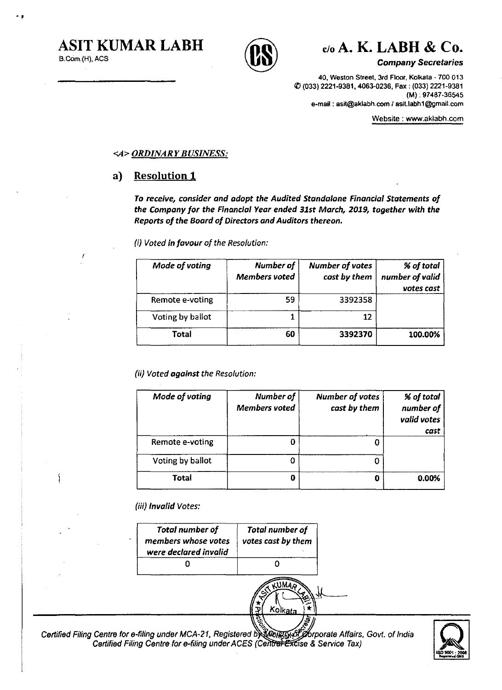١

-,





*Company Secretaries* 

40, Weston Street, 3rd Floor, Kolkata . 700 013 If) (033) 2221-9361, 4063-0236, Fax: (033) 2221-9361 (M): 97467·36545 e-mail: asit@aklabh.com / asit.labh1@gmail.com

Website: www.aklabh.com

#### *<;,4> ORDINARY BUSINESS:*

### a) Resolution **1**

To *receive, consider and adopt the Audited Standalane Financial Statements of the Company for the Financial Year ended* 31st *March, 2019, together with the Reports of the Board of Directors and Auditors thereon,* 

(i) *Voted in favour of the Resolution:* 

| Mode of voting   | Number of<br>Members voted | <b>Number of votes</b><br>cast by them | % of total<br>number of valid<br>votes cast |
|------------------|----------------------------|----------------------------------------|---------------------------------------------|
| Remote e-voting  | 59                         | 3392358                                |                                             |
| Voting by ballot |                            | 12                                     |                                             |
| Total            | 60                         | 3392370                                | 100.00%                                     |

(ii) *Voted against the Resolution:* 

| Mode of voting   | Number of<br><b>Members</b> voted | Number of votes<br>cast by them | % of total<br>number of<br>valid votes<br>cast |
|------------------|-----------------------------------|---------------------------------|------------------------------------------------|
| Remote e-voting  |                                   |                                 |                                                |
| Voting by ballot |                                   |                                 |                                                |
| Total            | o                                 | O                               | 0.00%                                          |

(iii) *Invalid Votes:* 

| Total number of<br>members whose votes<br>were declared invalid | <b>Total number of</b><br>votes cast by them |
|-----------------------------------------------------------------|----------------------------------------------|
|                                                                 |                                              |
|                                                                 | Kolkata                                      |
| r e-filing under MCA-21, Registered .                           |                                              |

Affairs, Govt. of India Certified Filing Centre for Certified Filing Centre for e-filing under ACES (Central Excise & Service Tax)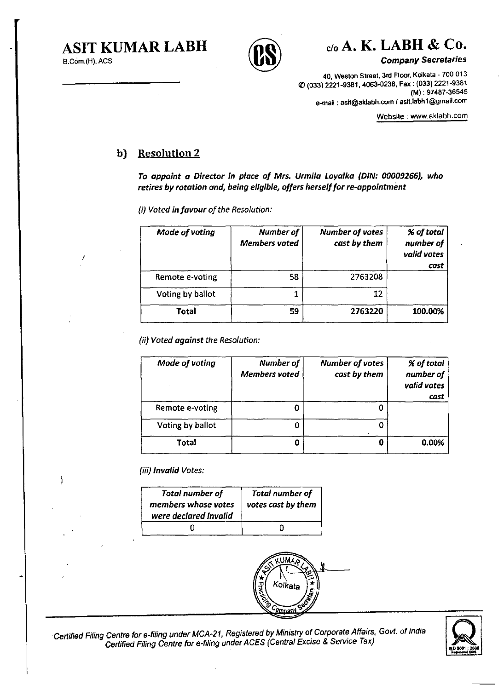Ì



# ASIT KUMAR LABH  $\cap$   $\cap$   $\circ$   $\circ$  A. K. LABH & Co.

Company Secretaries

40, Weston Street, 3rd Floor, Koikata - 700 013 If) (033) 2221-9381, 4063-0236, Fax: (033) 2221-9381 (M) : 97487-36545 e-mail : asit@aklabh.com / asit.labh1@gmail.com

Website: www.aklabh.com

## b) Resolution 2

To appoint a Director in place of Mrs. Urmila Loyalka (DIN: 00009266), who retires by rotation and, being eligible, offers herself for re-appointment

(i) Voted in favour of the Resolution:

| Mode of voting   | Number of<br><b>Members voted</b> | <b>Number of votes</b><br>cast by them | % of total<br>number of<br>valid votes<br>cast |
|------------------|-----------------------------------|----------------------------------------|------------------------------------------------|
| Remote e-voting  | 58                                | 2763208                                |                                                |
| Voting by ballot |                                   | 12                                     |                                                |
| Total            | 59                                | 2763220                                | 100.00%                                        |

(ii) Voted against the Resolution:

| Mode of voting   | Number of<br><b>Members</b> voted | Number of votes<br>cast by them | % of total<br>number of<br>valid votes<br>cast |
|------------------|-----------------------------------|---------------------------------|------------------------------------------------|
| Remote e-voting  |                                   |                                 |                                                |
| Voting by ballot |                                   |                                 |                                                |
| <b>Total</b>     |                                   | o                               | 0.00%                                          |

(iii) Invalid Votes:

| <b>Total number of</b><br>members whose votes<br>were declared invalid | <b>Total number of</b><br>votes cast by them |
|------------------------------------------------------------------------|----------------------------------------------|
|                                                                        |                                              |



Certified Filing Centre for e-filing under MCA-21, Registered by Ministry of Corporate Affairs, Govt. of India Centre for e-filing under MCA-21, Registered by Ministry of Corporate Affairs, Govt. of India<br>Certified Filing Centre for e-filing under ACES (Central Excise & Service Tax)

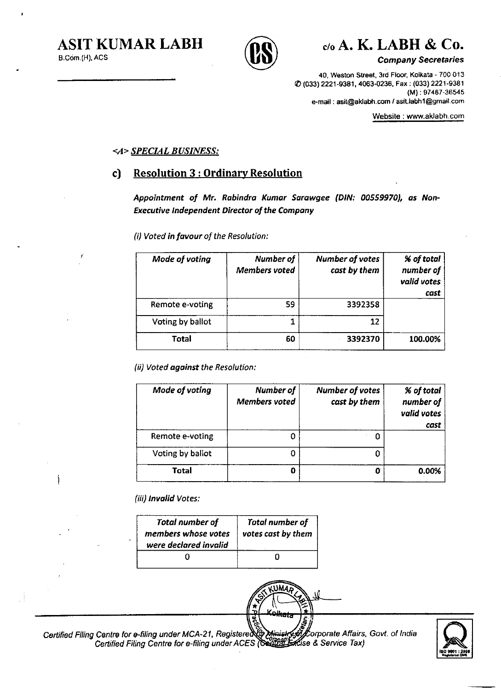ľ





Company Secretaries

40, Weston Street, 3rd Floor, Kolkata - 700 013 (() (033) 2221-9381, 4063-0236, Fax: (033) 2221-9381 (M) : 97487-36545 e-mail: asit@aklabh.com / asit.labh1@gmail.com

Website: www.aklabh.com

#### <*A>* SPECIAL BUSINESS:

## c) Resolution 3 : Ordinary Resolution

Appointment of Mr. Rabindra Kumar Sarawgee (DIN: 00559970), as Non-Executive Independent Director of the Company

(i) Voted in favour of the Resolution:

| Mode of voting   | Number of<br><b>Members voted</b> | Number of votes<br>cast by them | % of total<br>number of<br>valid votes<br>cast |
|------------------|-----------------------------------|---------------------------------|------------------------------------------------|
| Remote e-voting  | 59                                | 3392358                         |                                                |
| Voting by ballot |                                   | 12                              |                                                |
| Total            | 60                                | 3392370                         | 100.00%                                        |

(ii) Voted against the Resolution:

| Mode of voting   | Number of<br><b>Members voted</b> | <b>Number of votes</b><br>cast by them | % of total<br>number of<br>valid votes<br>cast |
|------------------|-----------------------------------|----------------------------------------|------------------------------------------------|
| Remote e-voting  |                                   | Ω                                      |                                                |
| Voting by ballot |                                   |                                        |                                                |
| Total            | Ð                                 | 0                                      | 0.00%                                          |

JMA

(iii) Invalid Votes:

| <b>Total number of</b><br>members whose votes<br>were declared invalid | <b>Total number of</b><br>votes cast by them |
|------------------------------------------------------------------------|----------------------------------------------|
|                                                                        |                                              |

Certified Filing Centre for e-filing under MCA-21, Registere $\chi$ g Minist Certified Filing Centre for e-filing under ACES (Seather orporate Affairs, *Govt.* of India **IS**<br>*I*Corporate Affairs, Govt. of India<br>Ise & Service Tax)<br> **ISO 9001 : 2001** 

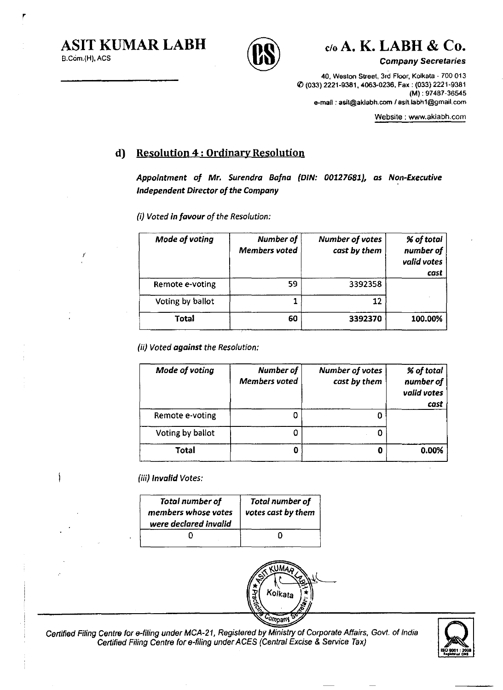Í

r





**Company Secretaries** 

40. Weston Street, 3rd Floor, Kolkata - 700 013 f{) (033) 2221·9381. 4063-0236. Fax: (033) 2221·9381 (M): 97487·36545 e-mail: asit@aklabh.com/asit.labhl@gmail.com

Website: www.aklabh.com

## **d)** Resolution 4 : Ordinary Resolution

Appointment of Mr. Surendra Bafna (DIN: 00127681), as Non-Executive Independent Director of the Company

(i) Voted in favour of the Resolution:

| Mode of voting   | Number of<br><b>Members voted</b> | Number of votes<br>cast by them | % of total<br>number of<br>valid votes<br>cast |
|------------------|-----------------------------------|---------------------------------|------------------------------------------------|
| Remote e-voting  | 59                                | 3392358                         |                                                |
| Voting by ballot |                                   | 12                              |                                                |
| Total            | 60                                | 3392370                         | 100.00%                                        |

(ii) Voted against the Resolution:

| Mode of voting   | Number of<br><b>Members</b> voted | Number of votes<br>cast by them | % of total<br>number of<br>valid votes<br>cast |
|------------------|-----------------------------------|---------------------------------|------------------------------------------------|
| Remote e-voting  |                                   |                                 |                                                |
| Voting by ballot |                                   |                                 |                                                |
| Total            |                                   | 0                               | 0.00%                                          |

(iii) Invalid Votes:

| Total number of<br>members whose votes<br>were declared invalid | Total number of<br>votes cast by them |
|-----------------------------------------------------------------|---------------------------------------|
|                                                                 |                                       |



Certified Filing Centre for e-filing under MCA-21, Registered by Ministry of Corporate Affairs, Govt. of India Centre for e-filing under MCA-21, Registered by Ministry of Corporate Affairs, Govt. of India<br>Certified Filing Centre for e-filing under ACES (Central Excise & Service Tax)

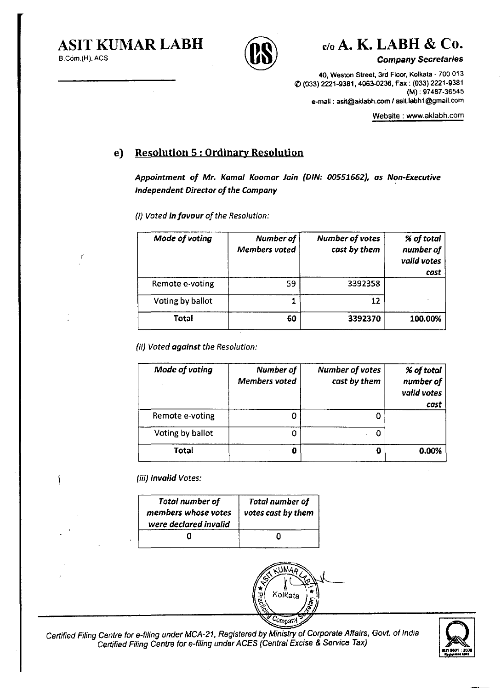



**Company Secretaries** 

40, Weston Street, 3rd Floor, Kolkata - 700 013 !() (033) 2221-9361,4063-0236, Fax: (033) 2221-9361 (M) : 97487-36545 e-mail: asit@aklabh.com / asit.labh1@gmail.com

Website: www.aklabh.com

## e) Resolution 5 : Ordinary Resolution

Appointment of Mr\_ Kamal Koomar Jain (DIN: *00551662),* as Non-Executive Independent Director of the Company

(i) Voted In favour of the Resolution:

| Mode of voting   | Number of<br><b>Members</b> voted | <b>Number of votes</b><br>cast by them | % of total<br>number of<br>valid votes<br>cast |
|------------------|-----------------------------------|----------------------------------------|------------------------------------------------|
| Remote e-voting  | 59                                | 3392358                                |                                                |
| Voting by ballot |                                   | 12                                     |                                                |
| Total            | 60                                | 3392370                                | 100.00%                                        |

(ii) Voted against the Resolution:

| Mode of voting   | Number of<br><b>Members voted</b> | Number of votes<br>cast by them | % of total<br>number of<br>valid votes<br>cast |
|------------------|-----------------------------------|---------------------------------|------------------------------------------------|
| Remote e-voting  |                                   |                                 |                                                |
| Voting by ballot |                                   |                                 |                                                |
| Total            |                                   | O                               | 0.00%                                          |

*(iii)* Invalid Votes:

| Total number of       | <b>Total number of</b> |
|-----------------------|------------------------|
| members whose votes   | votes cast by them     |
| were declared invalid | $\mathbb{I}$           |
|                       |                        |



Certified Filing Centre for e-filing under MCA-21, Registered by Ministry of Corporate Affairs, Govt. of India Certified Filing Centre for e-filing under ACES (Central Excise & Service Tax)

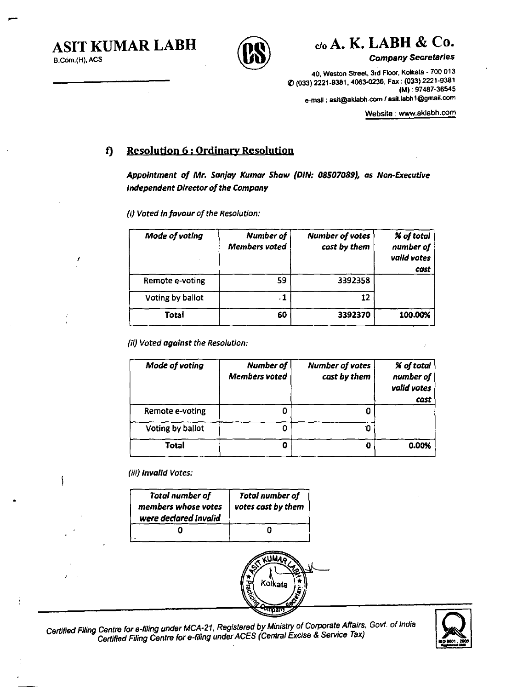B,Com,(H). ACS

I

∮



ASIT KUMAR LABH  $\cap$   $\cap$   $\circ$   $\circ$  A. K. LABH & Co.

Company Secretaries

40. Weston Street. 3rd Floor. Koikata - 700 013 III (033) 2221-9381. 4063-0236. Fax: (033) 2221-9381 (M): 97487-36545 e-mail: asit@aldabh.com/asit.labhl@gmail.com

Website: www.aklabh.com

## t) Resolution 6 ; Ordinary Resolution

Appointment of Mr. Sanjay Kumar Shaw (DIN: 08507089), as Non-Executive Independent Director of the Company

(i) Voted In favour of the Resolution:

| Mode of voting   | Number of<br><b>Members voted</b> | <b>Number of votes</b><br>cast by them | % of total<br>number of<br>valid votes<br>cast |
|------------------|-----------------------------------|----------------------------------------|------------------------------------------------|
| Remote e-voting  | 59                                | 3392358                                |                                                |
| Voting by ballot | - 1                               | 12                                     |                                                |
| Total            | 60                                | 3392370                                | 100.00%                                        |

(ii) Voted against the Resolution:

| Mode of voting   | Number of<br><b>Members voted</b> | <b>Number of votes</b><br>cast by them | <b>% of total</b><br>number of<br>valid votes<br>cast |
|------------------|-----------------------------------|----------------------------------------|-------------------------------------------------------|
| Remote e-voting  |                                   |                                        |                                                       |
| Voting by ballot |                                   |                                        |                                                       |
| Total            |                                   | O                                      | 0.00%                                                 |

(iii) Invalid Votes:

| <b>Total number of</b><br>members whose votes<br>were declared invalid | <b>Total number of</b><br>votes cast by them |
|------------------------------------------------------------------------|----------------------------------------------|
|                                                                        |                                              |



Certified Filing Centre for e-filing under MCA-21, Registered by Ministry of Corporate Affairs. Govt, of India Certified Filing Centre for e-filing under ACES (Central Excise & Service Tax)

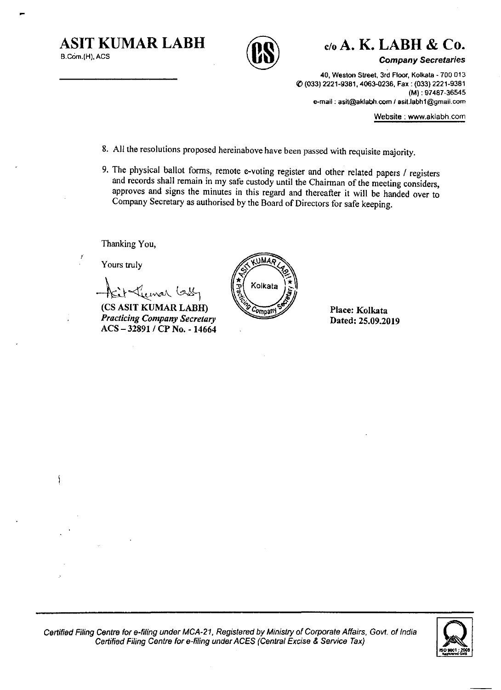**ASIT KUMAR LABH** 



*c/oA.* **K. LABH & Co.** 

Company Secretaries

40, Weston Street, 3rd Floor, Kolkala - 700 013 ([) (033) 2221-9381, 4063-0236, Fax: (033) 2221-9381 (M) : 97487-36545 e-mail: asit@aklabh.com/asit.labhl@gmail.com

Website: www.akiabh.com

- 8. All the resolutions proposed hereinabove have been passed with requisite majority,
- 9. The physical ballot forms, remote e-voting register and other related papers / registers and records shall remain in my safe custody until the Chairman of the meeting considers, approves and signs the minutes in this regard and thereafter it will be handed over to Company Secretary as authorised by the Board of Directors for safe keeping.

Thanking You,

Yours truly

Í

fait Lumar Guy

*Practicing Company Secretary*  ACS - 32891 / CP No. - 14664

**ANNU** Kolkata Compan

Place: Kolkata Dated: 25,09.2019



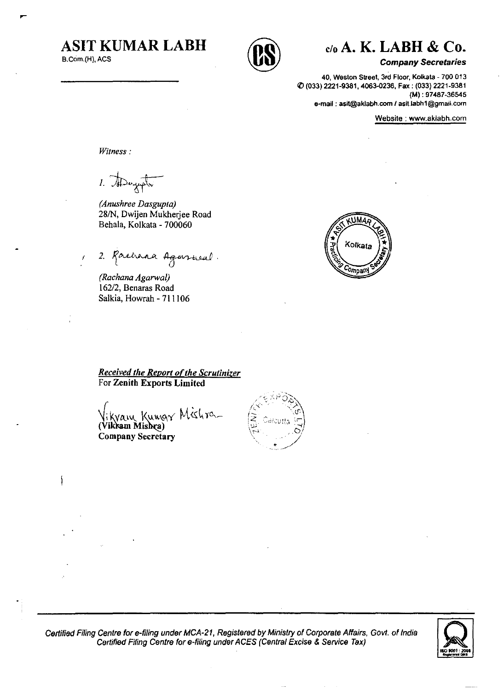# **ASIT KUMAR LABH**

B.Com.(H), ACS

-1



⊙alcutta

# c/o **A. K. LABH & Co.**

#### **Company** *Secretaries*

40, Weston Street, 3rd Floor, Kolkata - 700 013 q, (033) 2221-9381, 4063-0236, Fax: (033) 2221-9381 (M) : 97487-36545 e-mail: asit@aklabh.com / asit.labh1@gmail.com

Website: www.aklabh.com

*Witness:* 

1. Dayot

*(Anushree Dasgup/a)*  28/N, Dwijen Mukherjee Road Behala, Kolkata - 700060

2. Rachara Agarrical.

*(Rachana Agarwal)*  162/2, Benaras Road Salkia, Howrah - 711106

UM4. Kolkata **Company** 

**Received the Report of the Scrutinizer** For Zenith Exports Limited

*ikyam Kumgr Mishre\_* (Vikkam Mishra) Company Secretary



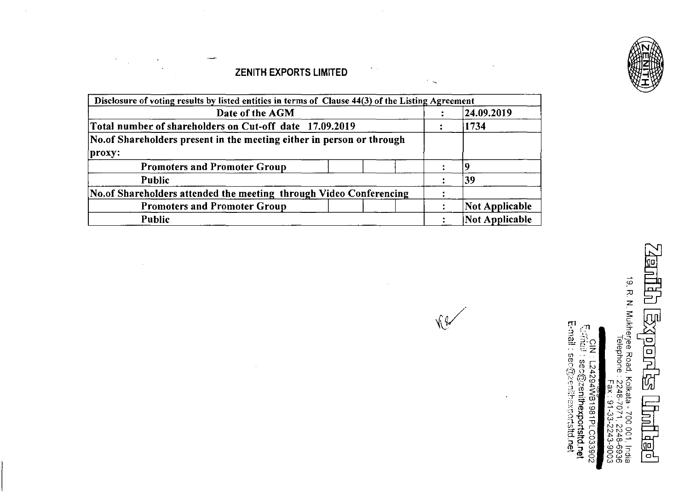## ZENITH EXPORTS LIMITED

 $\bar{z}$ 

ميين

 $\epsilon$ 

 $\bar{\mathcal{A}}$ 

 $\sim$ 

| Disclosure of voting results by listed entities in terms of Clause 44(3) of the Listing Agreement |                       |
|---------------------------------------------------------------------------------------------------|-----------------------|
| Date of the AGM                                                                                   | 24.09.2019            |
| Total number of shareholders on Cut-off date 17.09.2019                                           | 1734                  |
| No. of Shareholders present in the meeting either in person or through                            |                       |
| proxy:                                                                                            |                       |
| <b>Promoters and Promoter Group</b>                                                               |                       |
| <b>Public</b>                                                                                     | 39                    |
| No.of Shareholders attended the meeting through Video Conferencing                                |                       |
| <b>Promoters and Promoter Group</b>                                                               | <b>Not Applicable</b> |
| Public                                                                                            | Not Applicable        |

 $\sim$ 

 $\sigma_{\rm{max}}$ 

 $\sim$ 

 $\hat{\phantom{a}}$ 

 $\ddot{\phantom{a}}$ 

 $\bar{\mathcal{A}}$ 

昌巴 19, R. N. Mukherjee Road, Kolkata - 700 001, India<br>Telephone : 2248-7071, 2248-6936<br>- Fax : 91-33-2243-9003 **Exports** L<br>T **Tulling** 

CIN : L24294WB1981PLC033902<br>Effridil : sec@zenithexportsltd.net<br>E-mail : sec@zenithexportsltd.net

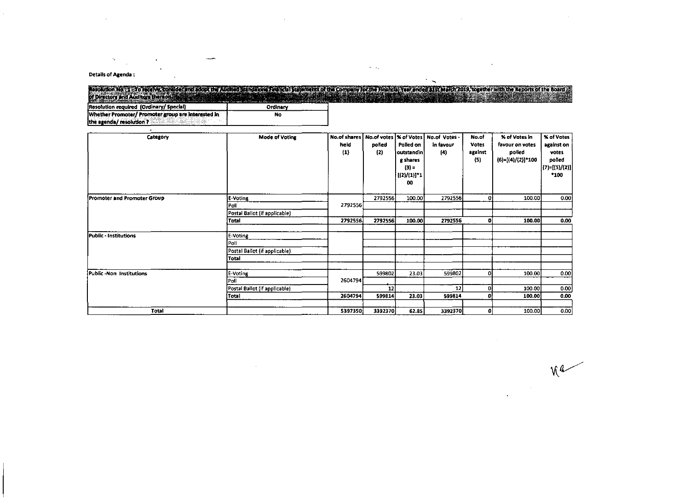#### Details of Agenda :

 $\mathcal{O}(\mathcal{O}_{\mathcal{A}})$ 

 $\mathcal{L}^{\text{max}}_{\text{max}}$  and  $\mathcal{L}^{\text{max}}_{\text{max}}$ 

 $\ddot{\phantom{a}}$  .

#### seolution No. 1 - To ready consider in Encorp. Exploration of the political concern light of North Collection of the March 2015, log the March 2015 of the Board in<br>of Directors and Auditors the non-second concerns and the Ordinary Resolution required (Ordinary/ Special) Whether Promoter/ Promoter group are interested in  $N<sub>o</sub>$

 $\sim 100$ 

 $\mathcal{L}_{\mathbf{X}}$ 

the agenda/ resolution ? AMICARALA bMom Т.

| Category                     | <b>Mode of Voting</b>         | <b>No.of shares</b> | No.of votes   % of Votes |              | No.of Votes - | No.of   | % of Votes in     | <b>% of Votes</b>            |
|------------------------------|-------------------------------|---------------------|--------------------------|--------------|---------------|---------|-------------------|------------------------------|
|                              |                               | held                | polled                   | Polled on    | in favour     | Votes   | favour on votes   | against on                   |
|                              |                               | $\left(1\right)$    | (2)                      | outstandin i | (4)           | against | polled            | votes                        |
|                              |                               |                     |                          | g shares     |               | (5)     | (6)=[(4)/(2)]*100 | polled                       |
|                              |                               |                     |                          | $(3) =$      |               |         |                   | $ (7)=[(5)/(2)]$             |
|                              |                               |                     |                          | [(2)/(1)]*1  |               |         |                   | *100                         |
|                              |                               |                     |                          | 00           |               |         |                   |                              |
| Promoter and Promoter Group  | E-Voting                      |                     | 2792556                  | 100.00       | 2792556       | ΩI      | 100.00            |                              |
|                              | iPoll                         | 2792556             |                          |              |               |         |                   |                              |
|                              | Postal Ballot (if applicable) |                     |                          |              |               |         |                   |                              |
|                              | Total                         | 2792556             | 2792556                  | 100.00       | 2792556       | o       | 100.00            | 0.00                         |
| <b>Public - Institutions</b> | E-Voting                      |                     |                          |              |               |         |                   |                              |
|                              | Poli                          |                     |                          |              |               |         |                   |                              |
|                              | Postal Ballot (if applicable) |                     |                          |              |               |         |                   |                              |
|                              | Total                         |                     |                          |              |               |         |                   |                              |
| Public -Non Institutions     | E-Voting                      |                     | 599802                   | 23.03        | 599802        | ٥Ι      | 100.00            |                              |
|                              | i Poll                        | 2604794             |                          |              |               |         |                   | 0.00<br>0.00<br>0.00<br>0.00 |
|                              | Postal Ballot (if applicable) |                     | 12                       |              | 12            | ۵I      | 100.00            |                              |
|                              | Total                         | 2604794             | 599814                   | 23.03        | 599814        | ٥I      | 100.00            |                              |
|                              |                               |                     |                          |              |               |         |                   |                              |
| Total                        |                               | 5397350             | 3392370                  | 62.85        | 3392370       | οı      | 100.00            | 0.00                         |

 $\sim 10$ 

 $M_{\odot}$ 

 $\sim$ 

 $\sim$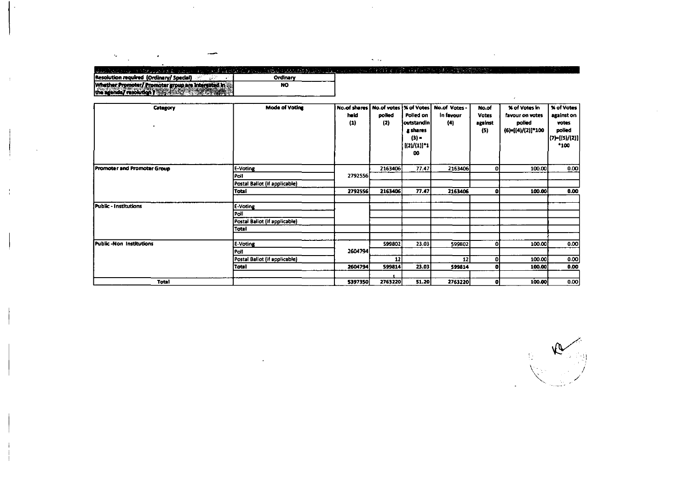| $\sim$ $\sim$<br>turile on a strugich als since a school Machinia countibility albumidation. How out the trans that the spin transformation of the second community of the second community of the second community of the second community o<br>Resolution required (Ordinary/Special)<br>Ordinary |
|-----------------------------------------------------------------------------------------------------------------------------------------------------------------------------------------------------------------------------------------------------------------------------------------------------|
|                                                                                                                                                                                                                                                                                                     |
|                                                                                                                                                                                                                                                                                                     |
|                                                                                                                                                                                                                                                                                                     |
|                                                                                                                                                                                                                                                                                                     |
|                                                                                                                                                                                                                                                                                                     |
| Whether Promoter/ Promoter group are interested in<br>NO.                                                                                                                                                                                                                                           |
| sgenda/resolution ? and statistic and the statistic                                                                                                                                                                                                                                                 |

 $\mathcal{L}^{\text{max}}_{\text{max}}$  , where  $\mathcal{L}^{\text{max}}_{\text{max}}$ 

 $\mathcal{L}^{\text{max}}_{\text{max}}$ 

 $\label{eq:3.1} \frac{1}{\sqrt{2}}\int_{\mathbb{R}^{3}}\left|\frac{d\mathbf{x}}{d\mathbf{x}}\right|^{2}d\mathbf{x}^{2}d\mathbf{x}^{2}d\mathbf{x}^{2}d\mathbf{x}^{2}d\mathbf{x}^{2}d\mathbf{x}^{2}d\mathbf{x}^{2}d\mathbf{x}^{2}d\mathbf{x}^{2}d\mathbf{x}^{2}d\mathbf{x}^{2}d\mathbf{x}^{2}d\mathbf{x}^{2}d\mathbf{x}^{2}d\mathbf{x}^{2}d\mathbf{x}^{2}d\mathbf{x}^{2}d\mathbf{x}^{2}d\math$ 

| Category                       | <b>Mode of Voting</b>         | No.of shares   No.of votes   % of Votes   No.of Votes |         |             |                   | No.of        | % of Votes in     | % of Votes         |
|--------------------------------|-------------------------------|-------------------------------------------------------|---------|-------------|-------------------|--------------|-------------------|--------------------|
|                                |                               | held                                                  | polled  | Polled on   | In favour         | <b>Votes</b> | favour on votes   | against on         |
|                                |                               | (1)                                                   | (2)     | outstandin  | (4)               | against      | polled            | votes              |
|                                |                               |                                                       |         | g shares    |                   | (5)          | (6)=[(4)/(2)]*100 | polled             |
|                                |                               |                                                       |         | $(3) =$     |                   |              |                   | $ (7) = [(5)/(2)]$ |
|                                |                               |                                                       |         | [(2)/(1)]*1 |                   |              |                   | *100               |
|                                |                               |                                                       |         | 00          |                   |              |                   |                    |
|                                |                               |                                                       |         |             |                   |              |                   |                    |
| Promoter and Promoter Group    | E-Voting                      |                                                       | 2163406 | 77.47       | 2163406           | ٥I           | 100.00            | 0.00               |
|                                | Poll                          | 2792556                                               |         |             |                   |              |                   |                    |
|                                | Postal Ballot (if applicable) |                                                       |         |             |                   |              |                   |                    |
|                                | Total                         | 2792556                                               | 2163406 | 77.47       | 2163406           | ΩI           | 100.00            | 0.00               |
|                                |                               |                                                       |         |             |                   |              |                   |                    |
| <b>Public - Institutions</b>   | E-Voting                      |                                                       |         |             |                   |              |                   |                    |
|                                | Poll                          |                                                       |         |             |                   |              |                   |                    |
|                                | Postal Ballot (if applicable) |                                                       |         |             |                   |              |                   |                    |
|                                | Total                         |                                                       |         |             |                   |              |                   |                    |
|                                |                               |                                                       |         |             |                   |              |                   |                    |
| <b>Public-Non Institutions</b> | E-Voting                      |                                                       | 599802  | 23.03       | 599802            | ΩI           | 100.00            | 0.00               |
|                                | Poll                          | 2604794                                               |         |             |                   |              |                   |                    |
|                                | Postal Ballot (if applicable) |                                                       | 12      |             | $12 \overline{ }$ | οı           | 100.00            | 0.00               |
|                                | Total                         | 2604794                                               | 599814  | 23.03       | 599814            | o            | 100.00            | 0.00               |
|                                |                               |                                                       |         |             |                   |              |                   |                    |
| Total                          |                               | 5397350                                               | 2763220 | 51.20       | 2763220           | ΩI           | 100.00            | 0.00               |

 $\mathcal{L}^{\text{max}}_{\text{max}}$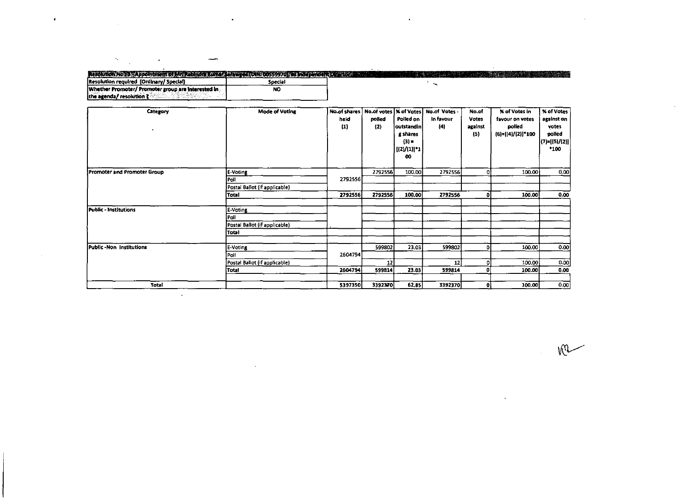| ---                                                |           |                                                                                                                                                                                                                                |
|----------------------------------------------------|-----------|--------------------------------------------------------------------------------------------------------------------------------------------------------------------------------------------------------------------------------|
|                                                    |           |                                                                                                                                                                                                                                |
|                                                    |           |                                                                                                                                                                                                                                |
|                                                    |           | A CONTROLS Application Caller Contra Canal A Sance Coll 20055570Passacreption and contract the contract of the contract of the contract of the contract of the contract of the contract of the contract of the contract of the |
| (Resolution required (Ordinary/ Special)           | Special   |                                                                                                                                                                                                                                |
| Whether Promoter/ Promoter group are interested in | <b>NO</b> |                                                                                                                                                                                                                                |
| ithe agenda/ resolution $\zeta$                    |           |                                                                                                                                                                                                                                |

 $\mathcal{F}^{\mathcal{A}}_{\mathcal{A}}$  , and the set of  $\mathcal{F}^{\mathcal{A}}_{\mathcal{A}}$  , and the set of  $\mathcal{F}^{\mathcal{A}}_{\mathcal{A}}$  , and the set of  $\mathcal{F}^{\mathcal{A}}_{\mathcal{A}}$  , and the set of  $\mathcal{F}^{\mathcal{A}}_{\mathcal{A}}$ 

| Category                    | <b>Mode of Voting</b>         | held<br>$\left( 1\right)$ | polled<br>(2) | Polied on<br>outstandin                     | No.of shares   No.of votes   % of Votes   No.of Votes -<br>in favour<br>(4) | No.of<br><b>Votes</b><br>against | <b>X</b> of Votes in<br>favour on votes<br>polled | <b>% of Votes</b><br>against on<br>votes |
|-----------------------------|-------------------------------|---------------------------|---------------|---------------------------------------------|-----------------------------------------------------------------------------|----------------------------------|---------------------------------------------------|------------------------------------------|
| $\bullet$                   |                               |                           |               | g shares<br>$(3) =$<br>  [(2)/(1)] *1<br>00 |                                                                             | (5)                              | (6)=[(4)/(2)]*100                                 | polled<br>$(7)=[(5)/(2)]$<br>*100        |
| Promoter and Promoter Group | E-Voting                      |                           | 2792556       | 100.00                                      | 2792556                                                                     |                                  | 100.00                                            | 0.00                                     |
|                             | Poll                          | 2792556                   |               |                                             |                                                                             |                                  |                                                   |                                          |
|                             | Postal Ballot (if applicable) |                           |               |                                             |                                                                             |                                  |                                                   |                                          |
|                             | Total                         | 2792556                   | 2792556       | 100.00                                      | 2792556                                                                     |                                  | 100.00                                            | 0.00                                     |
| Public - Institutions       | E-Voting                      |                           |               |                                             |                                                                             |                                  |                                                   |                                          |
|                             | Poll                          |                           |               |                                             |                                                                             |                                  |                                                   |                                          |
|                             | Postal Ballot (if applicable) |                           |               |                                             |                                                                             |                                  |                                                   |                                          |
|                             | Total                         |                           |               |                                             |                                                                             |                                  |                                                   |                                          |
| Public - Non Institutions   | E-Voting                      |                           | 599802        | 23.03                                       | 599802                                                                      |                                  | 100.00                                            | 0.00                                     |
|                             | Poli                          | 2604794                   |               |                                             |                                                                             |                                  |                                                   |                                          |
|                             | Postal Ballot (if applicable) |                           | 12            |                                             | 12                                                                          |                                  | 100.00                                            | 0.00                                     |
|                             | Total                         | 2604794                   | 599814        | 23.03                                       | 599814                                                                      |                                  | 100.00                                            | 0.00                                     |
| <b>Total</b>                |                               | 5397350                   | 3392370       | 62.85                                       | 3392370                                                                     | n                                | 100.00                                            | 0.00                                     |

 $rac{1}{2}$ 

the contract of the contract of the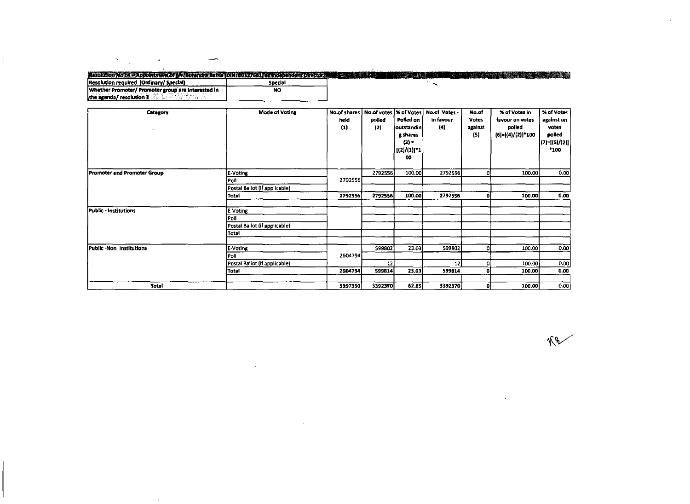#### THE REPORT OF THE ANNUAL PROPERTY OF THE PROPERTY  $\sim$   $\sim$ Resolution required (Ordinary/ Special) [19] [19] Special Special Special Special Special Special Special Special Special Special Special Special Special Special Special Special Special Special Special Special Special Spec NO the agenda/ resolution 1 and Interested Interests

÷.

 $\label{eq:1} \frac{\partial \mathbf{v}}{\partial \mathbf{v}} = \frac{1}{\sqrt{2\pi}} \left( \frac{\partial \mathbf{v}}{\partial \mathbf{v}} + \frac{\partial \mathbf{v}}{\partial \mathbf{v}} \right) \mathbf{v} \, ,$ 

 $\overline{\phantom{a}}$ 

 $\mathcal{A}$ 

 $\sim 100$ 

| Category<br>٠                | <b>Mode of Voting</b>         | <b>No.of shares</b><br>held<br>$\left( 1\right)$ | polled<br>$\{2\}$ | Polled on<br> outstandin <br>g shares<br>$(3) =$<br>$[(2)/(1)]$ *1<br>00 | No.of votes  % of Votes   No.of Votes -<br>in favour<br>(4) | No.of<br>Votes<br>against<br>(5) | <b>X</b> of Votes in<br>favour on votes<br>polled<br>$(6)=[(4)/(2)]$ *100 | <b>X of Votes</b><br>against on<br>votes<br>polled<br>$(7)=[(5)/(2)]$<br>*100 |
|------------------------------|-------------------------------|--------------------------------------------------|-------------------|--------------------------------------------------------------------------|-------------------------------------------------------------|----------------------------------|---------------------------------------------------------------------------|-------------------------------------------------------------------------------|
| Promoter and Promoter Group  | E-Voting<br>Poli              | 2792556                                          | 2792556           | 100.00                                                                   | 2792556                                                     | $\mathbf{0}$                     | 100.00                                                                    | 0.00                                                                          |
|                              | Postal Ballot (if applicable) |                                                  |                   |                                                                          |                                                             |                                  |                                                                           |                                                                               |
|                              | <b>Total</b>                  | 2792556                                          | 2792556           | 100.00                                                                   | 2792556                                                     | ΩI                               | 100.00                                                                    | 0.00                                                                          |
|                              |                               |                                                  |                   |                                                                          |                                                             |                                  |                                                                           |                                                                               |
| <b>Public - Institutions</b> | E-Voting                      |                                                  |                   |                                                                          |                                                             |                                  |                                                                           |                                                                               |
|                              | Poll                          |                                                  |                   |                                                                          |                                                             |                                  |                                                                           |                                                                               |
|                              | Postal Ballot (if applicable) |                                                  |                   |                                                                          |                                                             |                                  |                                                                           |                                                                               |
|                              | Total                         |                                                  |                   |                                                                          |                                                             |                                  |                                                                           |                                                                               |
| Public-Non Institutions      | E-Voting                      |                                                  | 599802            | 23.03                                                                    | 599802                                                      | ٥I                               | 100.00                                                                    | 0.00                                                                          |
|                              | Poll                          | 2604794                                          |                   |                                                                          |                                                             |                                  |                                                                           |                                                                               |
|                              | Postal Ballot (if applicable) |                                                  | 12                |                                                                          | 12                                                          | 0                                | 100.00                                                                    | 0.00                                                                          |
|                              | Total                         | 2604794                                          | 599814            | 23.03                                                                    | 599814                                                      | $\mathbf{0}$                     | 100.00                                                                    | 0.00                                                                          |
| Total                        |                               | 5397350                                          | 3392370           | 62.85                                                                    | 3392370                                                     | οI                               | 100.00                                                                    | 0.00                                                                          |

 $42$ 

ä,

 $\Delta$ 

 $\ddot{\phantom{a}}$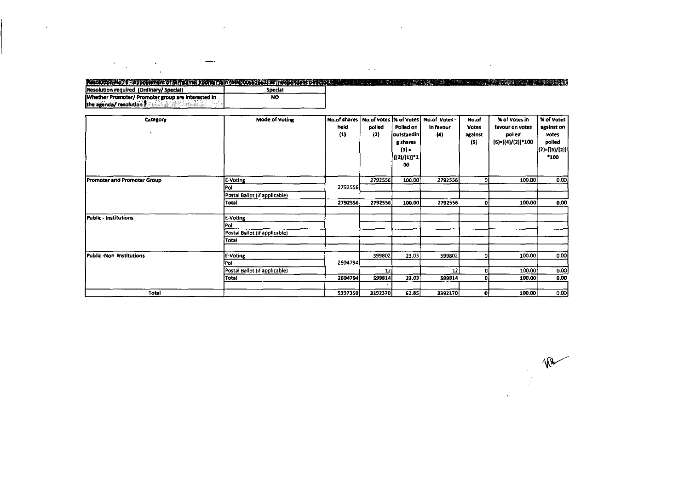### Resolution No. 5 : Appointment of Mr. Xam at Koomar fain (OIN: 00551662) as independent Director Case of the Construction required (Ordinary/ Special Section 1) Whether Promoter/ Promoter group are interested in<br>the agenda/ resolution ?  $\overline{NQ}$

 $\sim$ 

 $\overline{\phantom{a}}$ 

 $\label{eq:2.1} \frac{d\mathbf{y}}{dt} = \frac{1}{2} \left( \frac{d\mathbf{y}}{dt} - \frac{d\mathbf{y}}{dt} \right) \left( \frac{d\mathbf{y}}{dt} - \frac{d\mathbf{y}}{dt} \right)$ 

 $\mathcal{A}^{\pm}$ 

| Category<br>٠                      | <b>Mode of Voting</b>         | No.of shares<br>held<br>(1) | No.of votes   % of Votes  <br>polled<br>(2) | Polled on<br> outstandin <br>g shares<br>$(3) =$<br>  {(2)/(1)]*1<br>00 | No.of Votes -<br>in favour<br>(4) | No.of<br>Votes<br>against<br>(5) | <b>X of Votes in</b><br>favour on votes<br>polled<br>(6)=[(4)/(2)]*100 | <b>% of Votes</b><br>against on<br>votes<br>polled<br>(1)=[(5)/(2)] <br>$^{\bullet}100$ |
|------------------------------------|-------------------------------|-----------------------------|---------------------------------------------|-------------------------------------------------------------------------|-----------------------------------|----------------------------------|------------------------------------------------------------------------|-----------------------------------------------------------------------------------------|
| <b>Promoter and Promoter Group</b> | E-Voting                      |                             | 2792556                                     | 100.00                                                                  | 2792556                           | ٥I                               | 100.00                                                                 | 0.00                                                                                    |
|                                    | Poll                          | 2792556                     |                                             |                                                                         |                                   |                                  |                                                                        |                                                                                         |
|                                    | Postal Ballot (if applicable) |                             |                                             |                                                                         |                                   |                                  |                                                                        |                                                                                         |
|                                    | Total                         | 2792556                     | 2792556                                     | 100.00                                                                  | 2792556                           | 0                                | 100.00                                                                 | 0.00                                                                                    |
| Public - Institutions              | E-Voting                      |                             |                                             |                                                                         |                                   |                                  |                                                                        |                                                                                         |
|                                    | Poll                          |                             |                                             |                                                                         |                                   |                                  |                                                                        |                                                                                         |
|                                    | Postal Ballot (if applicable) |                             |                                             |                                                                         |                                   |                                  |                                                                        |                                                                                         |
|                                    | Total                         |                             |                                             |                                                                         |                                   |                                  |                                                                        |                                                                                         |
| Public -Non Institutions           | E-Voting                      |                             | 599802                                      | 23.03                                                                   | 599802                            | ٥I                               | 100.00                                                                 | 0.00                                                                                    |
|                                    | Poll                          | 2604794                     |                                             |                                                                         |                                   |                                  |                                                                        |                                                                                         |
|                                    | Postal Ballot (if applicable) |                             | 12 <sub>1</sub>                             |                                                                         | 12                                | 0                                | 100.00                                                                 | 0.00                                                                                    |
|                                    | Total                         | 2604794                     | 599814                                      | 23.03                                                                   | 599814                            | ٥i                               | 100.00                                                                 | 0.00                                                                                    |
|                                    |                               |                             |                                             |                                                                         |                                   |                                  |                                                                        |                                                                                         |
| Total                              |                               | 5397350                     | 3392370                                     | 62.85                                                                   | 3392370                           | οl                               | 100.00                                                                 | 0.00                                                                                    |

 $\sim$ 

 $\sim 100$ 

 $\Delta$ 

 $\sqrt{R}$